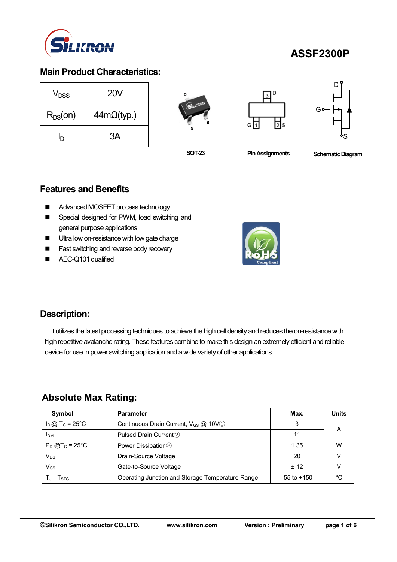

# **ASSF2300P**

### **Main Product Characteristics:**

| V <sub>DSS</sub> | <b>20V</b>         |  |  |  |  |
|------------------|--------------------|--|--|--|--|
| $R_{DS}(on)$     | $44m\Omega$ (typ.) |  |  |  |  |
| ln               | ЗA                 |  |  |  |  |







**SOT-23**

**Pin Assignments Schematic Diagram** 

### **Features and Benefits**

- Advanced MOSFET process technology
- Special designed for PWM, load switching and general purpose applications
- Ultra low on-resistance with low gate charge
- **Fast switching and reverse body recovery**
- AEC-Q101 qualified



### **Description:**

It utilizes the latest processing techniques to achieve the high cell density and reduces the on-resistance with high repetitive avalanche rating. These features combine to make this design an extremely efficient and reliable device for use in power switching application and a wide variety of other applications.

### **Absolute Max Rating:**

| Symbol                        | <b>Parameter</b>                                        | Max.            | <b>Units</b> |
|-------------------------------|---------------------------------------------------------|-----------------|--------------|
| $I_D$ @ T <sub>C</sub> = 25°C | Continuous Drain Current, $V_{GS}$ $@$ 10V <sup>1</sup> |                 |              |
| <b>IDM</b>                    | Pulsed Drain Current <sup>2</sup>                       |                 | А            |
| $P_D @T_C = 25^{\circ}C$      | Power Dissipation <sup>3</sup>                          | 1.35            | W            |
| Vps                           | Drain-Source Voltage                                    | 20              |              |
| V <sub>GS</sub>               | Gate-to-Source Voltage                                  | $+12$           |              |
| l stg                         | Operating Junction and Storage Temperature Range        | $-55$ to $+150$ | °∩           |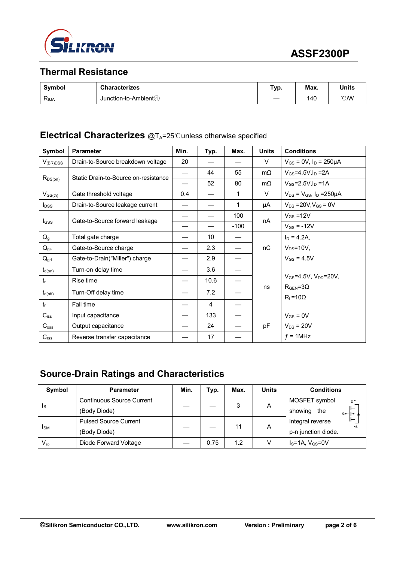

# **Thermal Resistance**

| Symbol                        | <b>Characterizes</b>      | Typ. | Max. | <b>Units</b>   |
|-------------------------------|---------------------------|------|------|----------------|
| $\mathsf{R}_{\text{\sf 6JA}}$ | Junction-to-Ambient $(4)$ |      | 140  | $^{\circ}$ CMV |

#### **Electrical Characterizes** @T<sub>A</sub>=25℃unless otherwise specified

| Symbol           | <b>Parameter</b>                     | Min.                     | Typ. | Max.   | <b>Units</b> | <b>Conditions</b>                              |  |
|------------------|--------------------------------------|--------------------------|------|--------|--------------|------------------------------------------------|--|
| $V_{(BR)DSS}$    | Drain-to-Source breakdown voltage    | 20                       |      |        | V            | $V_{GS}$ = 0V, $I_D$ = 250µA                   |  |
| $R_{DS(on)}$     | Static Drain-to-Source on-resistance | $\overline{\phantom{0}}$ | 44   | 55     | $m\Omega$    | $V_{GS}$ =4.5V, $I_D$ =2A                      |  |
|                  |                                      |                          | 52   | 80     | $m\Omega$    | $V_{GS} = 2.5 V, I_D = 1 A$                    |  |
| $V_{GS(th)}$     | Gate threshold voltage               | 0.4                      |      | 1      | V            | $V_{DS} = V_{GS}$ , $I_D = 250 \mu A$          |  |
| $I_{DSS}$        | Drain-to-Source leakage current      |                          |      | 1      | μA           | $V_{DS} = 20V, V_{GS} = 0V$                    |  |
|                  | Gate-to-Source forward leakage       |                          |      | 100    | nA           | $V_{GS} = 12V$                                 |  |
| $I_{GSS}$        |                                      |                          |      | $-100$ |              | $V_{GS}$ = -12V                                |  |
| $Q_{q}$          | Total gate charge                    |                          | 10   |        |              | $I_D = 4.2A,$                                  |  |
| $Q_{gs}$         | Gate-to-Source charge                |                          | 2.3  |        | nC           | $V_{DS} = 10V$ ,                               |  |
| $Q_{gd}$         | Gate-to-Drain("Miller") charge       |                          | 2.9  |        |              | $V_{GS} = 4.5V$                                |  |
| $t_{d(on)}$      | Turn-on delay time                   |                          | 3.6  |        |              |                                                |  |
| $t_{r}$          | Rise time                            |                          | 10.6 |        |              | $V_{GS} = 4.5V$ , $V_{DD} = 20V$ ,             |  |
| $t_{d(off)}$     | Turn-Off delay time                  |                          | 7.2  |        | ns           | $R_{\text{GEN}} = 3\Omega$<br>$R_L = 10\Omega$ |  |
| tr               | Fall time                            |                          | 4    |        |              |                                                |  |
| $C_{iss}$        | Input capacitance                    |                          | 133  |        |              | $V_{GS} = 0V$                                  |  |
| $C_{\rm oss}$    | Output capacitance                   |                          | 24   |        | pF           | $V_{DS}$ = 20V                                 |  |
| C <sub>rss</sub> | Reverse transfer capacitance         |                          | 17   |        |              | $f = 1$ MHz                                    |  |

# **Source-Drain Ratings and Characteristics**

| Symbol       | <b>Parameter</b>                 | Min. | Typ. | Max. | <b>Units</b> | <b>Conditions</b>                |  |
|--------------|----------------------------------|------|------|------|--------------|----------------------------------|--|
| <sub>s</sub> | <b>Continuous Source Current</b> |      |      | 3    | A            | MOSFET symbol<br>D۹              |  |
|              | (Body Diode)                     |      |      |      |              | showing the<br>$G \rightarrow H$ |  |
| <b>I</b> sm  | <b>Pulsed Source Current</b>     |      |      | 11   | Α            | integral reverse                 |  |
|              | (Body Diode)                     |      |      |      |              | p-n junction diode.              |  |
| $V_{SD}$     | Diode Forward Voltage            |      | 0.75 | 1.2  |              | $IS=1A, VGS=0V$                  |  |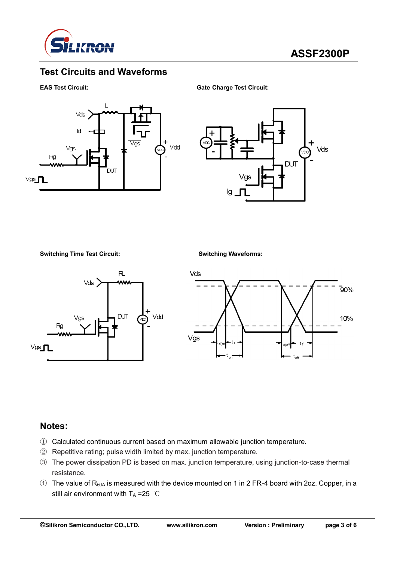

## **Test Circuits and Waveforms**

#### **EAS Test Circuit: Gate Charge Test Circuit:**





**Switching Time Test Circuit: Switching Waveforms:**





#### **Notes:**

- ① Calculated continuous current based on maximum allowable junction temperature.
- ② Repetitive rating; pulse width limited by max. junction temperature.
- ③ The power dissipation PD is based on max. junction temperature, using junction-to-case thermal resistance.
- $\circled{4}$  The value of R<sub>θJA</sub> is measured with the device mounted on 1 in 2 FR-4 board with 2oz. Copper, in a still air environment with  $T_A = 25$  ℃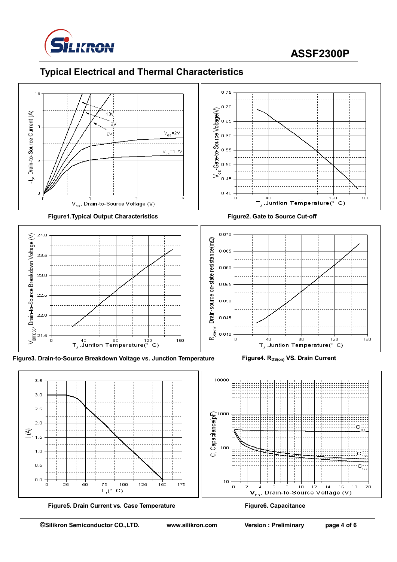

# **ASSF2300P**

# **Typical Electrical and Thermal Characteristics**



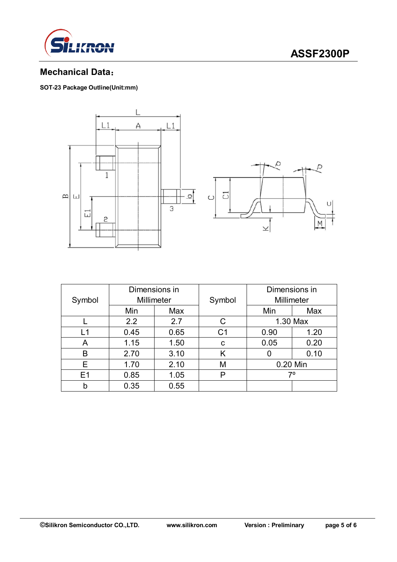

# **ASSF2300P**

# **Mechanical Data**:

**SOT-23 Package Outline(Unit:mm)**



| Symbol | Dimensions in<br>Millimeter |      | Symbol         | Dimensions in<br>Millimeter |      |
|--------|-----------------------------|------|----------------|-----------------------------|------|
|        | Min                         | Max  |                | Min                         | Max  |
|        | 2.2                         | 2.7  | C              | 1.30 Max                    |      |
| L1     | 0.45                        | 0.65 | C <sub>1</sub> | 0.90                        | 1.20 |
| A      | 1.15                        | 1.50 | C              | 0.05                        | 0.20 |
| B      | 2.70                        | 3.10 | K              | 0.10<br>O                   |      |
| Е      | 1.70                        | 2.10 | M              | 0.20 Min                    |      |
| E1     | 0.85                        | 1.05 | P              | 70                          |      |
| b      | 0.35                        | 0.55 |                |                             |      |